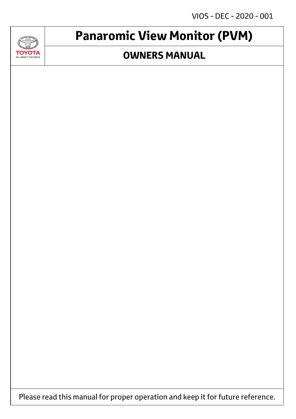VIOS - DEC - 2020 - 001



## **Panaromic View Monitor (PVM)**

### **OWNERS MANUAL**

Please read this manual for proper operation and keep it for future reference.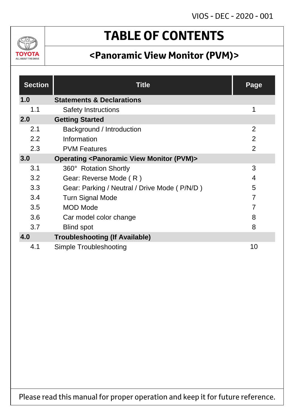

## **TABLE OF CONTENTS**

### **<Panoramic View Monitor (PVM)>**

| <b>Section</b> | <b>Title</b>                                                         | Page           |
|----------------|----------------------------------------------------------------------|----------------|
| 1.0            | <b>Statements &amp; Declarations</b>                                 |                |
| 1.1            | <b>Safety Instructions</b>                                           | 1              |
| 2.0            | <b>Getting Started</b>                                               |                |
| 2.1            | Background / Introduction                                            | 2              |
| 2.2            | Information                                                          | $\overline{2}$ |
| 2.3            | <b>PVM Features</b>                                                  | $\overline{2}$ |
| 3.0            | <b>Operating <panoramic (pvm)="" monitor="" view=""></panoramic></b> |                |
| 3.1            | 360° Rotation Shortly                                                | 3              |
| 3.2            | Gear: Reverse Mode (R)                                               | 4              |
| 3.3            | Gear: Parking / Neutral / Drive Mode (P/N/D)                         | 5              |
| 3.4            | <b>Turn Signal Mode</b>                                              | $\overline{7}$ |
| 3.5            | <b>MOD Mode</b>                                                      | 7              |
| 3.6            | Car model color change                                               | 8              |
| 3.7            | <b>Blind spot</b>                                                    | 8              |
| 4.0            | <b>Troubleshooting (If Available)</b>                                |                |
| 4.1            | Simple Troubleshooting                                               | 10             |

Please read this manual for proper operation and keep it for future reference.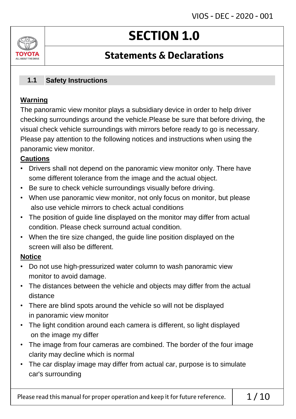# **SECTION 1.0**

### **Statements & Declarations**

#### **Safety Instructions 1.1**

### **Warning**

ΤΟΥΩΤΔ ALL AROUT THE DRIVE

> The panoramic view monitor plays a subsidiary device in order to help driver checking surroundings around the vehicle.Please be sure that before driving, the visual check vehicle surroundings with mirrors before ready to go is necessary. Please pay attention to the following notices and instructions when using the panoramic view monitor.

### **Cautions**

- Drivers shall not depend on the panoramic view monitor only. There have some different tolerance from the image and the actual object.
- Be sure to check vehicle surroundings visually before driving.
- When use panoramic view monitor, not only focus on monitor, but please also use vehicle mirrors to check actual conditions
- The position of guide line displayed on the monitor may differ from actual condition. Please check surround actual condition.
- When the tire size changed, the guide line position displayed on the screen will also be different.

### **Notice**

- Do not use high-pressurized water column to wash panoramic view monitor to avoid damage.
- The distances between the vehicle and objects may differ from the actual distance
- There are blind spots around the vehicle so will not be displayed in panoramic view monitor
- The light condition around each camera is different, so light displayed on the image my differ
- The image from four cameras are combined. The border of the four image clarity may decline which is normal
- The car display image may differ from actual car, purpose is to simulate car's surrounding

Please read this manual for proper operation and keep it for future reference.  $\vert$  1/10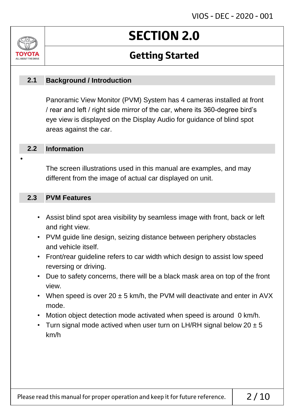# **SECTION 2.0**

### **Getting Started**

#### **Background / Introduction 2.1**

Panoramic View Monitor (PVM) System has 4 cameras installed at front / rear and left / right side mirror of the car, where its 360-degree bird's eye view is displayed on the Display Audio for guidance of blind spot areas against the car.

#### **Information 2.2**

•

ALL AROUT THE DR

The screen illustrations used in this manual are examples, and may different from the image of actual car displayed on unit.

#### **PVM Features 2.3**

- Assist blind spot area visibility by seamless image with front, back or left and right view.
- PVM guide line design, seizing distance between periphery obstacles and vehicle itself.
- Front/rear guideline refers to car width which design to assist low speed reversing or driving.
- Due to safety concerns, there will be a black mask area on top of the front view.
- When speed is over 20  $\pm$  5 km/h, the PVM will deactivate and enter in AVX mode.
- Motion object detection mode activated when speed is around 0 km/h.
- Turn signal mode actived when user turn on LH/RH signal below  $20 \pm 5$ km/h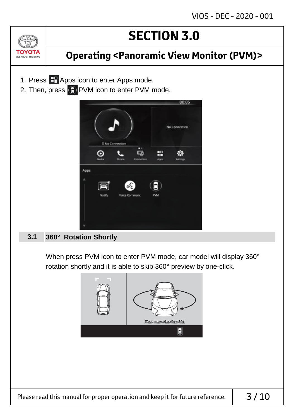

### **Operating <Panoramic View Monitor (PVM)>**

- 1. Press **H** Apps icon to enter Apps mode.
- 2. Then, press  $\bigodot$  PVM icon to enter PVM mode.



#### **360° Rotation Shortly 3.1**

When press PVM icon to enter PVM mode, car model will display 360° rotation shortly and it is able to skip 360° preview by one-click.

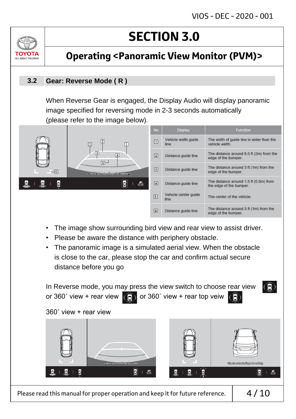

### **Operating <Panoramic View Monitor (PVM)>**

#### **Gear: Reverse Mode ( R ) 3.2**

When Reverse Gear is engaged, the Display Audio will display panoramic image specified for reversing mode in 2-3 seconds automatically (please refer to the image below).



- The image show surrounding bird view and rear view to assist driver.
- Please be aware the distance with periphery obstacle.
- The panoramic image is a simulated aerial view. When the obstacle is close to the car, please stop the car and confirm actual secure distance before you go



Please read this manual for proper operation and keep it for future reference.  $\vert 4/10$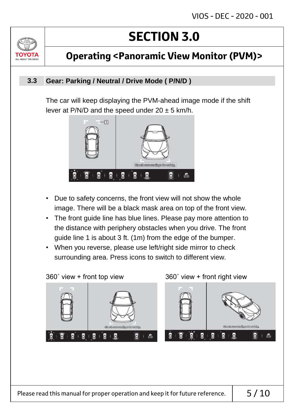

### **Operating <Panoramic View Monitor (PVM)>**

#### **Gear: Parking / Neutral / Drive Mode ( P/N/D ) 3.3**

The car will keep displaying the PVM-ahead image mode if the shift lever at P/N/D and the speed under  $20 \pm 5$  km/h.



- Due to safety concerns, the front view will not show the whole image. There will be a black mask area on top of the front view.
- The front guide line has blue lines. Please pay more attention to the distance with periphery obstacles when you drive. The front guide line 1 is about 3 ft. (1m) from the edge of the bumper.
- When you reverse, please use left/right side mirror to check surrounding area. Press icons to switch to different view.

360˚ view + front top view 360˚ view + front right view

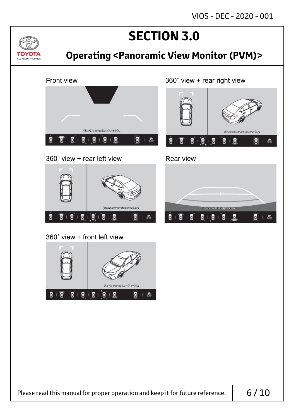circult entropy of the adopted blog.

图 1-8

E

 $+5$ 

 $\overline{8}$   $\overline{8}$ 

itseker romaingeforer ti

М

Ø

B

ū

 $-2$ 

E

П

闅

ß

В

## **SECTION 3.0**

### **Operating <Panoramic View Monitor (PVM)>**



360˚ view + rear left view Rear view

<u>Jvl</u>

TOYOTA ALL ABOUT THE DRIVE

> jobs skeunerneihoge for exitaty. Ē ß Ø.  $B + B$ П E 上酒

360˚ view + front left view

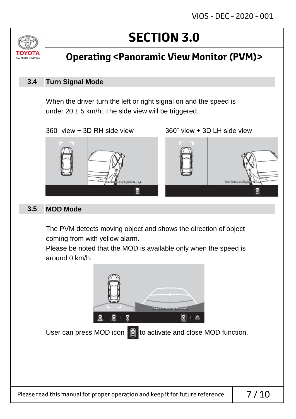

**Operating <Panoramic View Monitor (PVM)>**

#### **Turn Signal Mode 3.4**

When the driver turn the left or right signal on and the speed is under 20  $\pm$  5 km/h, The side view will be triggered.

360˚ view + 3D RH side view 360˚ view + 3D LH side view



#### **MOD Mode 3.5**

The PVM detects moving object and shows the direction of object coming from with yellow alarm.

Please be noted that the MOD is available only when the speed is around 0 km/h.

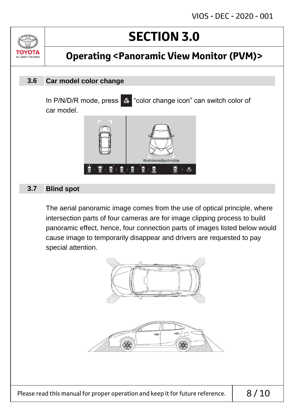ALL AROUT THE DRIV

## **Operating <Panoramic View Monitor (PVM)>**

#### **Car model color change 3.6**

In P/N/D/R mode, press  $\bullet$  "color change icon" can switch color of car model.



#### **Blind spot 3.7**

The aerial panoramic image comes from the use of optical principle, where intersection parts of four cameras are for image clipping process to build panoramic effect, hence, four connection parts of images listed below would cause image to temporarily disappear and drivers are requested to pay special attention.



Please read this manual for proper operation and keep it for future reference.  $\vert$  8/10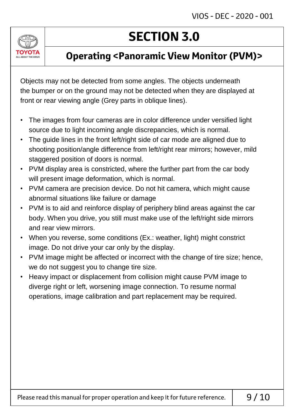

### **Operating <Panoramic View Monitor (PVM)>**

Objects may not be detected from some angles. The objects underneath the bumper or on the ground may not be detected when they are displayed at front or rear viewing angle (Grey parts in oblique lines).

- The images from four cameras are in color difference under versified light source due to light incoming angle discrepancies, which is normal.
- The guide lines in the front left/right side of car mode are aligned due to shooting position/angle difference from left/right rear mirrors; however, mild staggered position of doors is normal.
- PVM display area is constricted, where the further part from the car body will present image deformation, which is normal.
- PVM camera are precision device. Do not hit camera, which might cause abnormal situations like failure or damage
- PVM is to aid and reinforce display of periphery blind areas against the car body. When you drive, you still must make use of the left/right side mirrors and rear view mirrors.
- When you reverse, some conditions (Ex.: weather, light) might constrict image. Do not drive your car only by the display.
- PVM image might be affected or incorrect with the change of tire size; hence, we do not suggest you to change tire size.
- Heavy impact or displacement from collision might cause PVM image to diverge right or left, worsening image connection. To resume normal operations, image calibration and part replacement may be required.